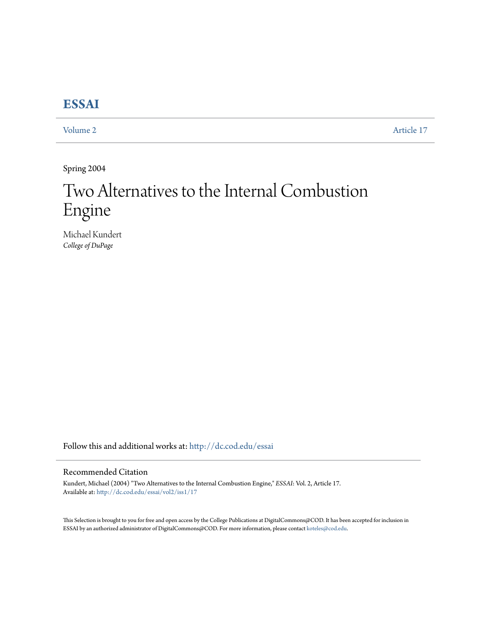# **[ESSAI](http://dc.cod.edu/essai?utm_source=dc.cod.edu%2Fessai%2Fvol2%2Fiss1%2F17&utm_medium=PDF&utm_campaign=PDFCoverPages)**

[Volume 2](http://dc.cod.edu/essai/vol2?utm_source=dc.cod.edu%2Fessai%2Fvol2%2Fiss1%2F17&utm_medium=PDF&utm_campaign=PDFCoverPages) [Article 17](http://dc.cod.edu/essai/vol2/iss1/17?utm_source=dc.cod.edu%2Fessai%2Fvol2%2Fiss1%2F17&utm_medium=PDF&utm_campaign=PDFCoverPages)

Spring 2004

# Two Alternatives to the Internal Combustion Engine

Michael Kundert *College of DuPage*

Follow this and additional works at: [http://dc.cod.edu/essai](http://dc.cod.edu/essai?utm_source=dc.cod.edu%2Fessai%2Fvol2%2Fiss1%2F17&utm_medium=PDF&utm_campaign=PDFCoverPages)

# Recommended Citation

Kundert, Michael (2004) "Two Alternatives to the Internal Combustion Engine," *ESSAI*: Vol. 2, Article 17. Available at: [http://dc.cod.edu/essai/vol2/iss1/17](http://dc.cod.edu/essai/vol2/iss1/17?utm_source=dc.cod.edu%2Fessai%2Fvol2%2Fiss1%2F17&utm_medium=PDF&utm_campaign=PDFCoverPages)

This Selection is brought to you for free and open access by the College Publications at DigitalCommons@COD. It has been accepted for inclusion in ESSAI by an authorized administrator of DigitalCommons@COD. For more information, please contact [koteles@cod.edu](mailto:koteles@cod.edu).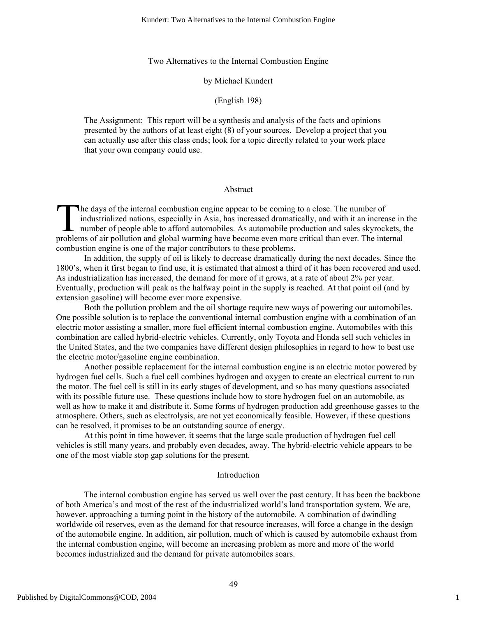Two Alternatives to the Internal Combustion Engine

# by Michael Kundert

#### (English 198)

The Assignment: This report will be a synthesis and analysis of the facts and opinions presented by the authors of at least eight (8) of your sources. Develop a project that you can actually use after this class ends; look for a topic directly related to your work place that your own company could use.

#### Abstract

**The days of the internal combustion engine appear to be coming to a close. The number of** industrialized nations, especially in Asia, has increased dramatically, and with it an increase in the number of people able to afford automobiles. As automobile production and sales skyrockets, the The days of the internal combustion engine appear to be coming to a close. The number of industrialized nations, especially in Asia, has increased dramatically, and with it an increase in number of people able to afford au combustion engine is one of the major contributors to these problems.

In addition, the supply of oil is likely to decrease dramatically during the next decades. Since the 1800's, when it first began to find use, it is estimated that almost a third of it has been recovered and used. As industrialization has increased, the demand for more of it grows, at a rate of about 2% per year. Eventually, production will peak as the halfway point in the supply is reached. At that point oil (and by extension gasoline) will become ever more expensive.

Both the pollution problem and the oil shortage require new ways of powering our automobiles. One possible solution is to replace the conventional internal combustion engine with a combination of an electric motor assisting a smaller, more fuel efficient internal combustion engine. Automobiles with this combination are called hybrid-electric vehicles. Currently, only Toyota and Honda sell such vehicles in the United States, and the two companies have different design philosophies in regard to how to best use the electric motor/gasoline engine combination.

Another possible replacement for the internal combustion engine is an electric motor powered by hydrogen fuel cells. Such a fuel cell combines hydrogen and oxygen to create an electrical current to run the motor. The fuel cell is still in its early stages of development, and so has many questions associated with its possible future use. These questions include how to store hydrogen fuel on an automobile, as well as how to make it and distribute it. Some forms of hydrogen production add greenhouse gasses to the atmosphere. Others, such as electrolysis, are not yet economically feasible. However, if these questions can be resolved, it promises to be an outstanding source of energy.

At this point in time however, it seems that the large scale production of hydrogen fuel cell vehicles is still many years, and probably even decades, away. The hybrid-electric vehicle appears to be one of the most viable stop gap solutions for the present.

#### Introduction

The internal combustion engine has served us well over the past century. It has been the backbone of both America's and most of the rest of the industrialized world's land transportation system. We are, however, approaching a turning point in the history of the automobile. A combination of dwindling worldwide oil reserves, even as the demand for that resource increases, will force a change in the design of the automobile engine. In addition, air pollution, much of which is caused by automobile exhaust from the internal combustion engine, will become an increasing problem as more and more of the world becomes industrialized and the demand for private automobiles soars.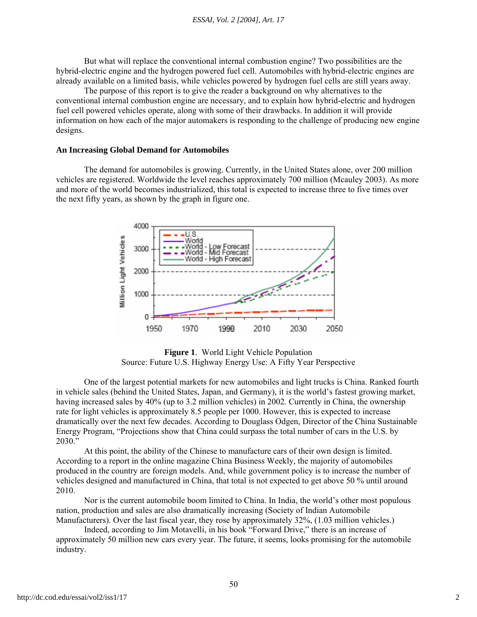But what will replace the conventional internal combustion engine? Two possibilities are the hybrid-electric engine and the hydrogen powered fuel cell. Automobiles with hybrid-electric engines are already available on a limited basis, while vehicles powered by hydrogen fuel cells are still years away.

The purpose of this report is to give the reader a background on why alternatives to the conventional internal combustion engine are necessary, and to explain how hybrid-electric and hydrogen fuel cell powered vehicles operate, along with some of their drawbacks. In addition it will provide information on how each of the major automakers is responding to the challenge of producing new engine designs.

# **An Increasing Global Demand for Automobiles**

The demand for automobiles is growing. Currently, in the United States alone, over 200 million vehicles are registered. Worldwide the level reaches approximately 700 million (Mcauley 2003). As more and more of the world becomes industrialized, this total is expected to increase three to five times over the next fifty years, as shown by the graph in figure one.



**Figure 1**. World Light Vehicle Population Source: Future U.S. Highway Energy Use: A Fifty Year Perspective

One of the largest potential markets for new automobiles and light trucks is China. Ranked fourth in vehicle sales (behind the United States, Japan, and Germany), it is the world's fastest growing market, having increased sales by 40% (up to 3.2 million vehicles) in 2002. Currently in China, the ownership rate for light vehicles is approximately 8.5 people per 1000. However, this is expected to increase dramatically over the next few decades. According to Douglass Odgen, Director of the China Sustainable Energy Program, "Projections show that China could surpass the total number of cars in the U.S. by 2030."

At this point, the ability of the Chinese to manufacture cars of their own design is limited. According to a report in the online magazine China Business Weekly, the majority of automobiles produced in the country are foreign models. And, while government policy is to increase the number of vehicles designed and manufactured in China, that total is not expected to get above 50 % until around 2010.

Nor is the current automobile boom limited to China. In India, the world's other most populous nation, production and sales are also dramatically increasing (Society of Indian Automobile Manufacturers). Over the last fiscal year, they rose by approximately 32%, (1.03 million vehicles.)

Indeed, according to Jim Motavelli, in his book "Forward Drive," there is an increase of approximately 50 million new cars every year. The future, it seems, looks promising for the automobile industry.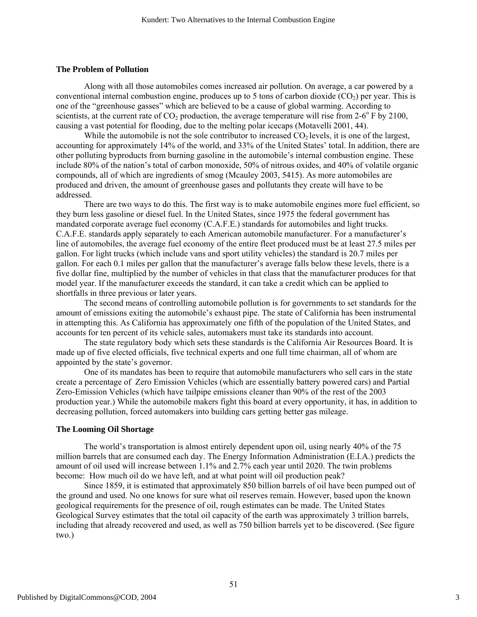# **The Problem of Pollution**

Along with all those automobiles comes increased air pollution. On average, a car powered by a conventional internal combustion engine, produces up to 5 tons of carbon dioxide  $(CO<sub>2</sub>)$  per year. This is one of the "greenhouse gasses" which are believed to be a cause of global warming. According to scientists, at the current rate of  $CO_2$  production, the average temperature will rise from 2-6 $\degree$  F by 2100, causing a vast potential for flooding, due to the melting polar icecaps (Motavelli 2001, 44).

While the automobile is not the sole contributor to increased  $CO<sub>2</sub>$  levels, it is one of the largest, accounting for approximately 14% of the world, and 33% of the United States' total. In addition, there are other polluting byproducts from burning gasoline in the automobile's internal combustion engine. These include 80% of the nation's total of carbon monoxide, 50% of nitrous oxides, and 40% of volatile organic compounds, all of which are ingredients of smog (Mcauley 2003, 5415). As more automobiles are produced and driven, the amount of greenhouse gases and pollutants they create will have to be addressed.

There are two ways to do this. The first way is to make automobile engines more fuel efficient, so they burn less gasoline or diesel fuel. In the United States, since 1975 the federal government has mandated corporate average fuel economy (C.A.F.E.) standards for automobiles and light trucks. C.A.F.E. standards apply separately to each American automobile manufacturer. For a manufacturer's line of automobiles, the average fuel economy of the entire fleet produced must be at least 27.5 miles per gallon. For light trucks (which include vans and sport utility vehicles) the standard is 20.7 miles per gallon. For each 0.1 miles per gallon that the manufacturer's average falls below these levels, there is a five dollar fine, multiplied by the number of vehicles in that class that the manufacturer produces for that model year. If the manufacturer exceeds the standard, it can take a credit which can be applied to shortfalls in three previous or later years.

The second means of controlling automobile pollution is for governments to set standards for the amount of emissions exiting the automobile's exhaust pipe. The state of California has been instrumental in attempting this. As California has approximately one fifth of the population of the United States, and accounts for ten percent of its vehicle sales, automakers must take its standards into account.

The state regulatory body which sets these standards is the California Air Resources Board. It is made up of five elected officials, five technical experts and one full time chairman, all of whom are appointed by the state's governor.

One of its mandates has been to require that automobile manufacturers who sell cars in the state create a percentage of Zero Emission Vehicles (which are essentially battery powered cars) and Partial Zero-Emission Vehicles (which have tailpipe emissions cleaner than 90% of the rest of the 2003 production year.) While the automobile makers fight this board at every opportunity, it has, in addition to decreasing pollution, forced automakers into building cars getting better gas mileage.

#### **The Looming Oil Shortage**

The world's transportation is almost entirely dependent upon oil, using nearly 40% of the 75 million barrels that are consumed each day. The Energy Information Administration (E.I.A.) predicts the amount of oil used will increase between 1.1% and 2.7% each year until 2020. The twin problems become: How much oil do we have left, and at what point will oil production peak?

Since 1859, it is estimated that approximately 850 billion barrels of oil have been pumped out of the ground and used. No one knows for sure what oil reserves remain. However, based upon the known geological requirements for the presence of oil, rough estimates can be made. The United States Geological Survey estimates that the total oil capacity of the earth was approximately 3 trillion barrels, including that already recovered and used, as well as 750 billion barrels yet to be discovered. (See figure two.)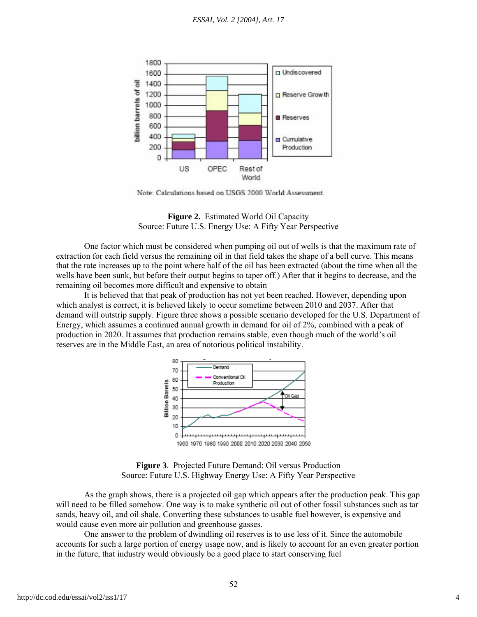

Note: Calculations based on USGS 2000 World Assessment.

One factor which must be considered when pumping oil out of wells is that the maximum rate of extraction for each field versus the remaining oil in that field takes the shape of a bell curve. This means that the rate increases up to the point where half of the oil has been extracted (about the time when all the wells have been sunk, but before their output begins to taper off.) After that it begins to decrease, and the remaining oil becomes more difficult and expensive to obtain

It is believed that that peak of production has not yet been reached. However, depending upon which analyst is correct, it is believed likely to occur sometime between 2010 and 2037. After that demand will outstrip supply. Figure three shows a possible scenario developed for the U.S. Department of Energy, which assumes a continued annual growth in demand for oil of 2%, combined with a peak of production in 2020. It assumes that production remains stable, even though much of the world's oil reserves are in the Middle East, an area of notorious political instability.



**Figure 3**. Projected Future Demand: Oil versus Production Source: Future U.S. Highway Energy Use: A Fifty Year Perspective

As the graph shows, there is a projected oil gap which appears after the production peak. This gap will need to be filled somehow. One way is to make synthetic oil out of other fossil substances such as tar sands, heavy oil, and oil shale. Converting these substances to usable fuel however, is expensive and would cause even more air pollution and greenhouse gasses.

One answer to the problem of dwindling oil reserves is to use less of it. Since the automobile accounts for such a large portion of energy usage now, and is likely to account for an even greater portion in the future, that industry would obviously be a good place to start conserving fuel

**Figure 2.** Estimated World Oil Capacity Source: Future U.S. Energy Use: A Fifty Year Perspective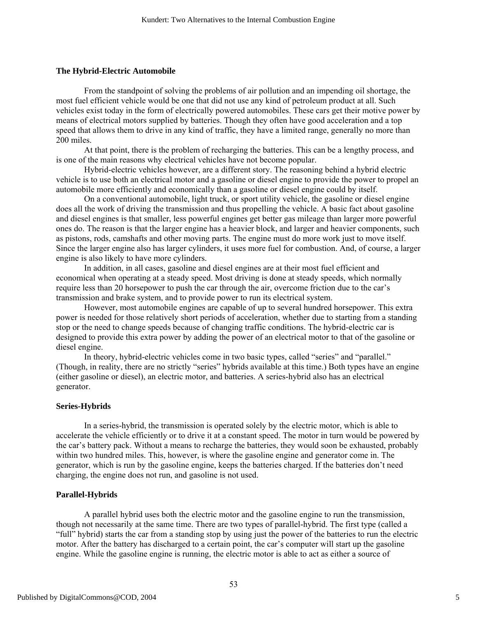# **The Hybrid-Electric Automobile**

From the standpoint of solving the problems of air pollution and an impending oil shortage, the most fuel efficient vehicle would be one that did not use any kind of petroleum product at all. Such vehicles exist today in the form of electrically powered automobiles. These cars get their motive power by means of electrical motors supplied by batteries. Though they often have good acceleration and a top speed that allows them to drive in any kind of traffic, they have a limited range, generally no more than 200 miles.

At that point, there is the problem of recharging the batteries. This can be a lengthy process, and is one of the main reasons why electrical vehicles have not become popular.

Hybrid-electric vehicles however, are a different story. The reasoning behind a hybrid electric vehicle is to use both an electrical motor and a gasoline or diesel engine to provide the power to propel an automobile more efficiently and economically than a gasoline or diesel engine could by itself.

On a conventional automobile, light truck, or sport utility vehicle, the gasoline or diesel engine does all the work of driving the transmission and thus propelling the vehicle. A basic fact about gasoline and diesel engines is that smaller, less powerful engines get better gas mileage than larger more powerful ones do. The reason is that the larger engine has a heavier block, and larger and heavier components, such as pistons, rods, camshafts and other moving parts. The engine must do more work just to move itself. Since the larger engine also has larger cylinders, it uses more fuel for combustion. And, of course, a larger engine is also likely to have more cylinders.

In addition, in all cases, gasoline and diesel engines are at their most fuel efficient and economical when operating at a steady speed. Most driving is done at steady speeds, which normally require less than 20 horsepower to push the car through the air, overcome friction due to the car's transmission and brake system, and to provide power to run its electrical system.

However, most automobile engines are capable of up to several hundred horsepower. This extra power is needed for those relatively short periods of acceleration, whether due to starting from a standing stop or the need to change speeds because of changing traffic conditions. The hybrid-electric car is designed to provide this extra power by adding the power of an electrical motor to that of the gasoline or diesel engine.

In theory, hybrid-electric vehicles come in two basic types, called "series" and "parallel." (Though, in reality, there are no strictly "series" hybrids available at this time.) Both types have an engine (either gasoline or diesel), an electric motor, and batteries. A series-hybrid also has an electrical generator.

#### **Series-Hybrids**

In a series-hybrid, the transmission is operated solely by the electric motor, which is able to accelerate the vehicle efficiently or to drive it at a constant speed. The motor in turn would be powered by the car's battery pack. Without a means to recharge the batteries, they would soon be exhausted, probably within two hundred miles. This, however, is where the gasoline engine and generator come in. The generator, which is run by the gasoline engine, keeps the batteries charged. If the batteries don't need charging, the engine does not run, and gasoline is not used.

#### **Parallel-Hybrids**

A parallel hybrid uses both the electric motor and the gasoline engine to run the transmission, though not necessarily at the same time. There are two types of parallel-hybrid. The first type (called a "full" hybrid) starts the car from a standing stop by using just the power of the batteries to run the electric motor. After the battery has discharged to a certain point, the car's computer will start up the gasoline engine. While the gasoline engine is running, the electric motor is able to act as either a source of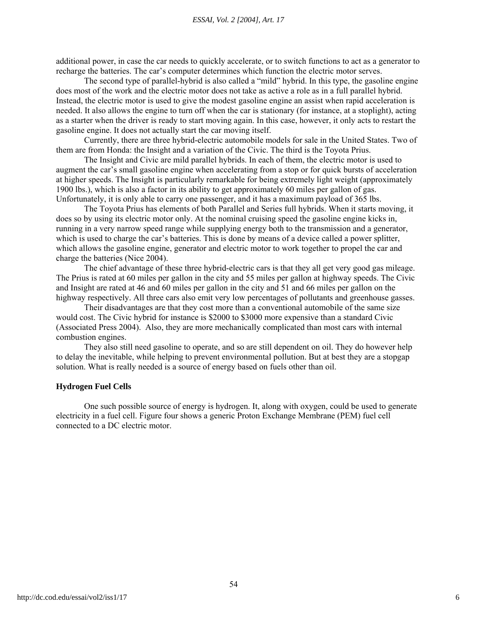#### *ESSAI, Vol. 2 [2004], Art. 17*

additional power, in case the car needs to quickly accelerate, or to switch functions to act as a generator to recharge the batteries. The car's computer determines which function the electric motor serves.

The second type of parallel-hybrid is also called a "mild" hybrid. In this type, the gasoline engine does most of the work and the electric motor does not take as active a role as in a full parallel hybrid. Instead, the electric motor is used to give the modest gasoline engine an assist when rapid acceleration is needed. It also allows the engine to turn off when the car is stationary (for instance, at a stoplight), acting as a starter when the driver is ready to start moving again. In this case, however, it only acts to restart the gasoline engine. It does not actually start the car moving itself.

Currently, there are three hybrid-electric automobile models for sale in the United States. Two of them are from Honda: the Insight and a variation of the Civic. The third is the Toyota Prius.

The Insight and Civic are mild parallel hybrids. In each of them, the electric motor is used to augment the car's small gasoline engine when accelerating from a stop or for quick bursts of acceleration at higher speeds. The Insight is particularly remarkable for being extremely light weight (approximately 1900 lbs.), which is also a factor in its ability to get approximately 60 miles per gallon of gas. Unfortunately, it is only able to carry one passenger, and it has a maximum payload of 365 lbs.

The Toyota Prius has elements of both Parallel and Series full hybrids. When it starts moving, it does so by using its electric motor only. At the nominal cruising speed the gasoline engine kicks in, running in a very narrow speed range while supplying energy both to the transmission and a generator, which is used to charge the car's batteries. This is done by means of a device called a power splitter, which allows the gasoline engine, generator and electric motor to work together to propel the car and charge the batteries (Nice 2004).

The chief advantage of these three hybrid-electric cars is that they all get very good gas mileage. The Prius is rated at 60 miles per gallon in the city and 55 miles per gallon at highway speeds. The Civic and Insight are rated at 46 and 60 miles per gallon in the city and 51 and 66 miles per gallon on the highway respectively. All three cars also emit very low percentages of pollutants and greenhouse gasses.

Their disadvantages are that they cost more than a conventional automobile of the same size would cost. The Civic hybrid for instance is \$2000 to \$3000 more expensive than a standard Civic (Associated Press 2004). Also, they are more mechanically complicated than most cars with internal combustion engines.

They also still need gasoline to operate, and so are still dependent on oil. They do however help to delay the inevitable, while helping to prevent environmental pollution. But at best they are a stopgap solution. What is really needed is a source of energy based on fuels other than oil.

#### **Hydrogen Fuel Cells**

One such possible source of energy is hydrogen. It, along with oxygen, could be used to generate electricity in a fuel cell. Figure four shows a generic Proton Exchange Membrane (PEM) fuel cell connected to a DC electric motor.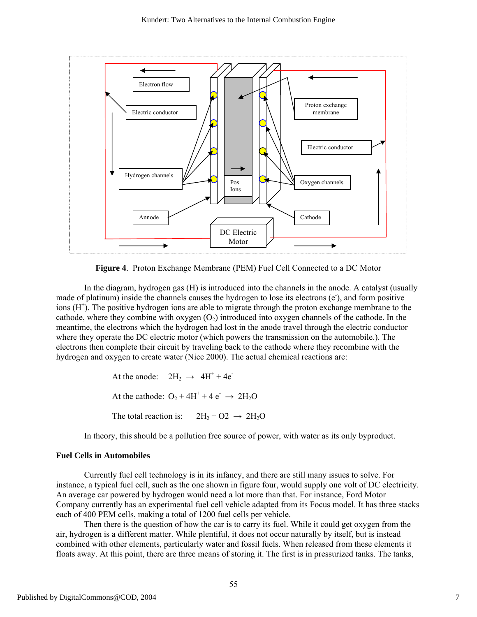

**Figure 4**. Proton Exchange Membrane (PEM) Fuel Cell Connected to a DC Motor

In the diagram, hydrogen gas (H) is introduced into the channels in the anode. A catalyst (usually made of platinum) inside the channels causes the hydrogen to lose its electrons (e), and form positive ions  $(H^+)$ . The positive hydrogen ions are able to migrate through the proton exchange membrane to the cathode, where they combine with oxygen  $(O_2)$  introduced into oxygen channels of the cathode. In the meantime, the electrons which the hydrogen had lost in the anode travel through the electric conductor where they operate the DC electric motor (which powers the transmission on the automobile.). The electrons then complete their circuit by traveling back to the cathode where they recombine with the hydrogen and oxygen to create water (Nice 2000). The actual chemical reactions are:

At the anode:  $2H_2 \rightarrow 4H^+ + 4e^-$ At the cathode:  $O_2 + 4H^+ + 4e^- \rightarrow 2H_2O$ The total reaction is:  $2H_2 + O2 \rightarrow 2H_2O$ 

In theory, this should be a pollution free source of power, with water as its only byproduct.

# **Fuel Cells in Automobiles**

Currently fuel cell technology is in its infancy, and there are still many issues to solve. For instance, a typical fuel cell, such as the one shown in figure four, would supply one volt of DC electricity. An average car powered by hydrogen would need a lot more than that. For instance, Ford Motor Company currently has an experimental fuel cell vehicle adapted from its Focus model. It has three stacks each of 400 PEM cells, making a total of 1200 fuel cells per vehicle.

Then there is the question of how the car is to carry its fuel. While it could get oxygen from the air, hydrogen is a different matter. While plentiful, it does not occur naturally by itself, but is instead combined with other elements, particularly water and fossil fuels. When released from these elements it floats away. At this point, there are three means of storing it. The first is in pressurized tanks. The tanks,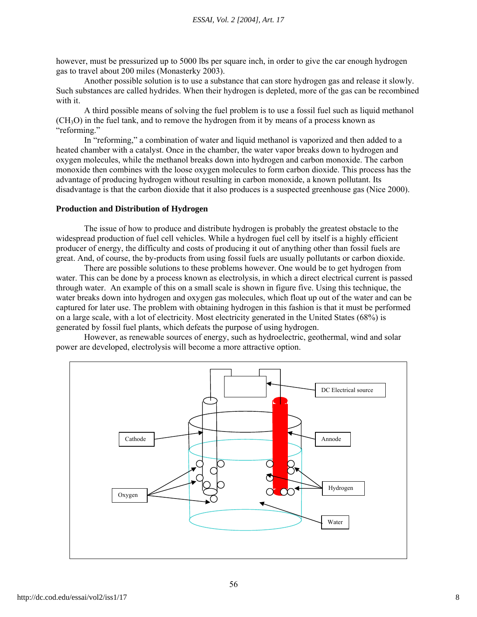however, must be pressurized up to 5000 lbs per square inch, in order to give the car enough hydrogen gas to travel about 200 miles (Monasterky 2003).

Another possible solution is to use a substance that can store hydrogen gas and release it slowly. Such substances are called hydrides. When their hydrogen is depleted, more of the gas can be recombined with it.

A third possible means of solving the fuel problem is to use a fossil fuel such as liquid methanol  $(CH<sub>3</sub>O)$  in the fuel tank, and to remove the hydrogen from it by means of a process known as "reforming."

In "reforming," a combination of water and liquid methanol is vaporized and then added to a heated chamber with a catalyst. Once in the chamber, the water vapor breaks down to hydrogen and oxygen molecules, while the methanol breaks down into hydrogen and carbon monoxide. The carbon monoxide then combines with the loose oxygen molecules to form carbon dioxide. This process has the advantage of producing hydrogen without resulting in carbon monoxide, a known pollutant. Its disadvantage is that the carbon dioxide that it also produces is a suspected greenhouse gas (Nice 2000).

# **Production and Distribution of Hydrogen**

The issue of how to produce and distribute hydrogen is probably the greatest obstacle to the widespread production of fuel cell vehicles. While a hydrogen fuel cell by itself is a highly efficient producer of energy, the difficulty and costs of producing it out of anything other than fossil fuels are great. And, of course, the by-products from using fossil fuels are usually pollutants or carbon dioxide.

There are possible solutions to these problems however. One would be to get hydrogen from water. This can be done by a process known as electrolysis, in which a direct electrical current is passed through water. An example of this on a small scale is shown in figure five. Using this technique, the water breaks down into hydrogen and oxygen gas molecules, which float up out of the water and can be captured for later use. The problem with obtaining hydrogen in this fashion is that it must be performed on a large scale, with a lot of electricity. Most electricity generated in the United States (68%) is generated by fossil fuel plants, which defeats the purpose of using hydrogen.

However, as renewable sources of energy, such as hydroelectric, geothermal, wind and solar power are developed, electrolysis will become a more attractive option.

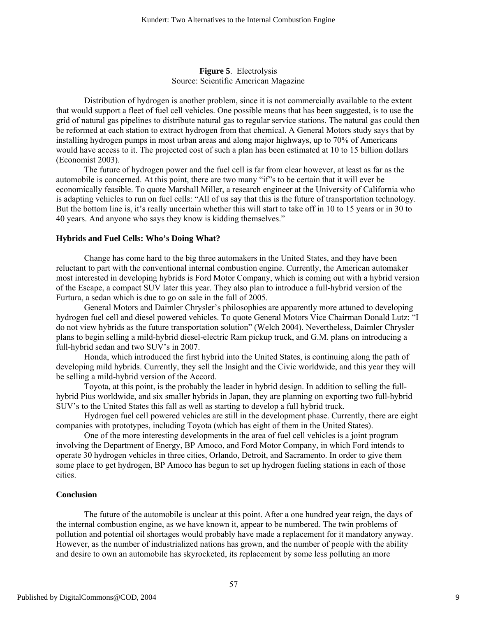# **Figure 5**. Electrolysis Source: Scientific American Magazine

Distribution of hydrogen is another problem, since it is not commercially available to the extent that would support a fleet of fuel cell vehicles. One possible means that has been suggested, is to use the grid of natural gas pipelines to distribute natural gas to regular service stations. The natural gas could then be reformed at each station to extract hydrogen from that chemical. A General Motors study says that by installing hydrogen pumps in most urban areas and along major highways, up to 70% of Americans would have access to it. The projected cost of such a plan has been estimated at 10 to 15 billion dollars (Economist 2003).

The future of hydrogen power and the fuel cell is far from clear however, at least as far as the automobile is concerned. At this point, there are two many "if"s to be certain that it will ever be economically feasible. To quote Marshall Miller, a research engineer at the University of California who is adapting vehicles to run on fuel cells: "All of us say that this is the future of transportation technology. But the bottom line is, it's really uncertain whether this will start to take off in 10 to 15 years or in 30 to 40 years. And anyone who says they know is kidding themselves."

# **Hybrids and Fuel Cells: Who's Doing What?**

Change has come hard to the big three automakers in the United States, and they have been reluctant to part with the conventional internal combustion engine. Currently, the American automaker most interested in developing hybrids is Ford Motor Company, which is coming out with a hybrid version of the Escape, a compact SUV later this year. They also plan to introduce a full-hybrid version of the Furtura, a sedan which is due to go on sale in the fall of 2005.

General Motors and Daimler Chrysler's philosophies are apparently more attuned to developing hydrogen fuel cell and diesel powered vehicles. To quote General Motors Vice Chairman Donald Lutz: "I do not view hybrids as the future transportation solution" (Welch 2004). Nevertheless, Daimler Chrysler plans to begin selling a mild-hybrid diesel-electric Ram pickup truck, and G.M. plans on introducing a full-hybrid sedan and two SUV's in 2007.

Honda, which introduced the first hybrid into the United States, is continuing along the path of developing mild hybrids. Currently, they sell the Insight and the Civic worldwide, and this year they will be selling a mild-hybrid version of the Accord.

Toyota, at this point, is the probably the leader in hybrid design. In addition to selling the fullhybrid Pius worldwide, and six smaller hybrids in Japan, they are planning on exporting two full-hybrid SUV's to the United States this fall as well as starting to develop a full hybrid truck.

Hydrogen fuel cell powered vehicles are still in the development phase. Currently, there are eight companies with prototypes, including Toyota (which has eight of them in the United States).

One of the more interesting developments in the area of fuel cell vehicles is a joint program involving the Department of Energy, BP Amoco, and Ford Motor Company, in which Ford intends to operate 30 hydrogen vehicles in three cities, Orlando, Detroit, and Sacramento. In order to give them some place to get hydrogen, BP Amoco has begun to set up hydrogen fueling stations in each of those cities.

# **Conclusion**

The future of the automobile is unclear at this point. After a one hundred year reign, the days of the internal combustion engine, as we have known it, appear to be numbered. The twin problems of pollution and potential oil shortages would probably have made a replacement for it mandatory anyway. However, as the number of industrialized nations has grown, and the number of people with the ability and desire to own an automobile has skyrocketed, its replacement by some less polluting an more